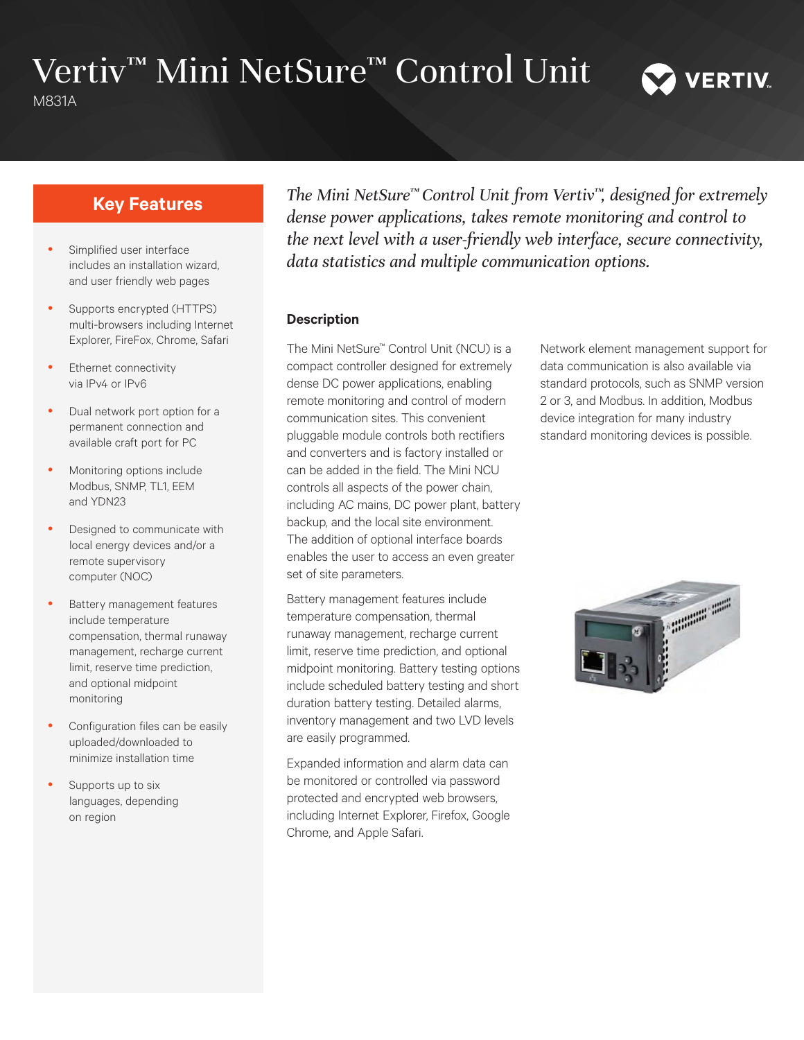# Vertiv™ Mini NetSure™ Control Unit

M831A

# **Key Features**

- Simplified user interface includes an installation wizard, and user friendly web pages
- Supports encrypted (HTTPS) multi-browsers including Internet Explorer, FireFox, Chrome, Safari
- Ethernet connectivity via IPv4 or IPv6
- Dual network port option for a permanent connection and available craft port for PC
- Monitoring options include Modbus, SNMP, TL1, EEM and YDN23
- Designed to communicate with local energy devices and/or a remote supervisory computer (NOC)
- Battery management features include temperature compensation, thermal runaway management, recharge current limit, reserve time prediction, and optional midpoint monitoring
- Configuration files can be easily uploaded/downloaded to minimize installation time
- Supports up to six languages, depending on region

*The Mini NetSure™ Control Unit from Vertiv™, designed for extremely dense power applications, takes remote monitoring and control to the next level with a user-friendly web interface, secure connectivity, data statistics and multiple communication options.*

#### **Description**

The Mini NetSure™ Control Unit (NCU) is a compact controller designed for extremely dense DC power applications, enabling remote monitoring and control of modern communication sites. This convenient pluggable module controls both rectifiers and converters and is factory installed or can be added in the field. The Mini NCU controls all aspects of the power chain, including AC mains, DC power plant, battery backup, and the local site environment. The addition of optional interface boards enables the user to access an even greater set of site parameters.

Battery management features include temperature compensation, thermal runaway management, recharge current limit, reserve time prediction, and optional midpoint monitoring. Battery testing options include scheduled battery testing and short duration battery testing. Detailed alarms, inventory management and two LVD levels are easily programmed.

Expanded information and alarm data can be monitored or controlled via password protected and encrypted web browsers, including Internet Explorer, Firefox, Google Chrome, and Apple Safari.

Network element management support for data communication is also available via standard protocols, such as SNMP version 2 or 3, and Modbus. In addition, Modbus device integration for many industry standard monitoring devices is possible.